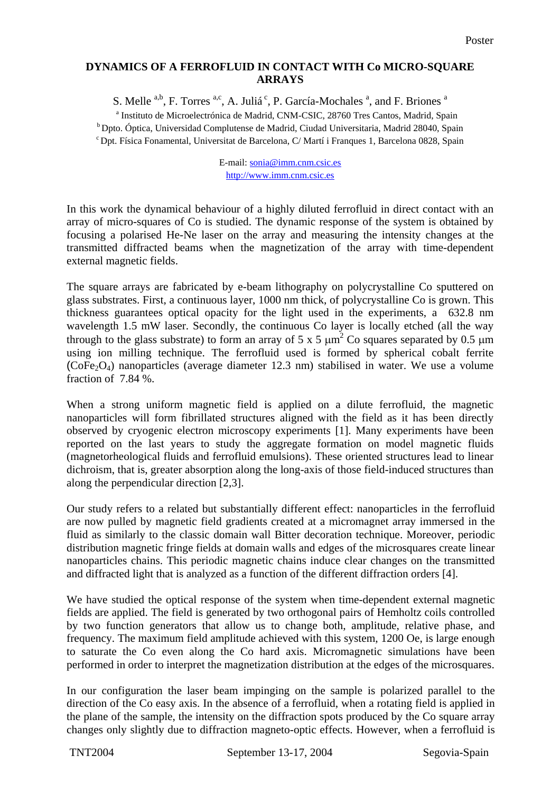## **DYNAMICS OF A FERROFLUID IN CONTACT WITH Co MICRO-SQUARE ARRAYS**

S. Melle  $a,b$ , F. Torres  $a,c$ , A. Juliá<sup>c</sup>, P. García-Mochales  $a$ , and F. Briones  $a$ 

<sup>a</sup> Instituto de Microelectrónica de Madrid, CNM-CSIC, 28760 Tres Cantos, Madrid, Spain <sup>b</sup> Dpto. Óptica, Universidad Complutense de Madrid, Ciudad Universitaria, Madrid 28040, Spain c Dpt. Física Fonamental, Universitat de Barcelona, C/ Martí i Franques 1, Barcelona 0828, Spain

> E-mail: [sonia@imm.cnm.csic.es](mailto:sonia@imm.cnm.csic.es) [http://www.imm.cnm.csic.es](http://www.imm.cnm.csic.es/)

In this work the dynamical behaviour of a highly diluted ferrofluid in direct contact with an array of micro-squares of Co is studied. The dynamic response of the system is obtained by focusing a polarised He-Ne laser on the array and measuring the intensity changes at the transmitted diffracted beams when the magnetization of the array with time-dependent external magnetic fields.

The square arrays are fabricated by e-beam lithography on polycrystalline Co sputtered on glass substrates. First, a continuous layer, 1000 nm thick, of polycrystalline Co is grown. This thickness guarantees optical opacity for the light used in the experiments, a 632.8 nm wavelength 1.5 mW laser. Secondly, the continuous Co layer is locally etched (all the way through to the glass substrate) to form an array of 5 x 5  $\mu$ m<sup>2</sup> Co squares separated by 0.5  $\mu$ m using ion milling technique. The ferrofluid used is formed by spherical cobalt ferrite  $(CoFe<sub>2</sub>O<sub>4</sub>)$  nanoparticles (average diameter 12.3 nm) stabilised in water. We use a volume fraction of 7.84 %.

When a strong uniform magnetic field is applied on a dilute ferrofluid, the magnetic nanoparticles will form fibrillated structures aligned with the field as it has been directly observed by cryogenic electron microscopy experiments [1]. Many experiments have been reported on the last years to study the aggregate formation on model magnetic fluids (magnetorheological fluids and ferrofluid emulsions). These oriented structures lead to linear dichroism, that is, greater absorption along the long-axis of those field-induced structures than along the perpendicular direction [2,3].

Our study refers to a related but substantially different effect: nanoparticles in the ferrofluid are now pulled by magnetic field gradients created at a micromagnet array immersed in the fluid as similarly to the classic domain wall Bitter decoration technique. Moreover, periodic distribution magnetic fringe fields at domain walls and edges of the microsquares create linear nanoparticles chains. This periodic magnetic chains induce clear changes on the transmitted and diffracted light that is analyzed as a function of the different diffraction orders [4].

We have studied the optical response of the system when time-dependent external magnetic fields are applied. The field is generated by two orthogonal pairs of Hemholtz coils controlled by two function generators that allow us to change both, amplitude, relative phase, and frequency. The maximum field amplitude achieved with this system, 1200 Oe, is large enough to saturate the Co even along the Co hard axis. Micromagnetic simulations have been performed in order to interpret the magnetization distribution at the edges of the microsquares.

In our configuration the laser beam impinging on the sample is polarized parallel to the direction of the Co easy axis. In the absence of a ferrofluid, when a rotating field is applied in the plane of the sample, the intensity on the diffraction spots produced by the Co square array changes only slightly due to diffraction magneto-optic effects. However, when a ferrofluid is